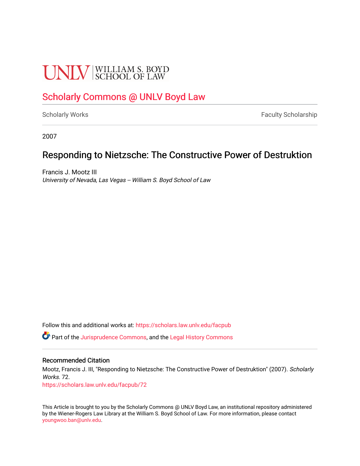# **UNLV** SCHOOL OF LAW

# [Scholarly Commons @ UNLV Boyd Law](https://scholars.law.unlv.edu/)

[Scholarly Works](https://scholars.law.unlv.edu/facpub) **Faculty Scholarship** Faculty Scholarship

2007

## Responding to Nietzsche: The Constructive Power of Destruktion

Francis J. Mootz III University of Nevada, Las Vegas -- William S. Boyd School of Law

Follow this and additional works at: [https://scholars.law.unlv.edu/facpub](https://scholars.law.unlv.edu/facpub?utm_source=scholars.law.unlv.edu%2Ffacpub%2F72&utm_medium=PDF&utm_campaign=PDFCoverPages)

Part of the [Jurisprudence Commons](http://network.bepress.com/hgg/discipline/610?utm_source=scholars.law.unlv.edu%2Ffacpub%2F72&utm_medium=PDF&utm_campaign=PDFCoverPages), and the [Legal History Commons](http://network.bepress.com/hgg/discipline/904?utm_source=scholars.law.unlv.edu%2Ffacpub%2F72&utm_medium=PDF&utm_campaign=PDFCoverPages)

#### Recommended Citation

Mootz, Francis J. III, "Responding to Nietzsche: The Constructive Power of Destruktion" (2007). Scholarly Works. 72.

[https://scholars.law.unlv.edu/facpub/72](https://scholars.law.unlv.edu/facpub/72?utm_source=scholars.law.unlv.edu%2Ffacpub%2F72&utm_medium=PDF&utm_campaign=PDFCoverPages) 

This Article is brought to you by the Scholarly Commons @ UNLV Boyd Law, an institutional repository administered by the Wiener-Rogers Law Library at the William S. Boyd School of Law. For more information, please contact [youngwoo.ban@unlv.edu.](mailto:youngwoo.ban@unlv.edu)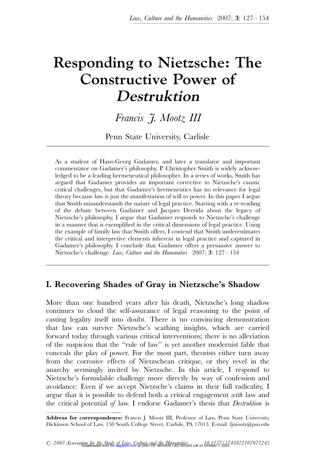# Responding to Nietzsche: The Constructive Power of Destruktion

### Francis *J. Mootz III*

Penn State University, Carlisle

As a student of Hans-Georg Gadamer, and later a translator and important commentator on Gadamer's philosophy, P. Christopher Smith is widely acknowledged to be a leading hermeneutical philosopher. In a series of works, Smith has argued that Gadamer provides an important corrective to Nietzsche's caustic critical challenges, but that Gadamer's hermeneutics has no relevance for legal theory because law is just the manifestation of will to power. In this paper I argue that Smith misunderstands the nature of legal practice. Starting with a re-reading of the debate between Gadamer and Jacques Derrida about the legacy of Nietzsche's philosophy, I argue that Gadamer responds to Nietzsche's challenge in a manner that is exemplified in the critical dimensions of legal practice. Using the example of family law that Smith offers, I contend that Smith underestimates the critical and interpretive elements inherent in legal practice and captured in Gadamer's philosophy. I conclude that Gadamer offers a persuasive answer to Nietzsche's challenge. Law, Culture and the Humanities 2007; 3: 127 – 154

#### I. Recovering Shades of Gray in Nietzsche's Shadow

More than one hundred years after his death, Nietzsche's long shadow continues to cloud the self-assurance of legal reasoning to the point of casting legality itself into doubt. There is no convincing demonstration that law can survive Nietzsche's scathing insights, which are carried forward today through various critical interventions; there is no alleviation of the suspicion that the ''rule of law'' is yet another modernist fable that conceals the play of power. For the most part, theorists either turn away from the corrosive effects of Nietzschean critique, or they revel in the anarchy seemingly invited by Nietzsche. In this article, I respond to Nietzsche's formidable challenge more directly by way of confession and avoidance: Even if we accept Nietzsche's claims in their full radicality, I argue that it is possible to defend both a critical engagement with law and the critical potential of law. I endorse Gadamer's thesis that Destruktion is

Address for correspondence: Francis J. Mootz III, Professor of Law, Penn State University, Dickinson School of Law, 150 South College Street, Carlisle, PA 17013. E-mail: fjmootz@psu.edu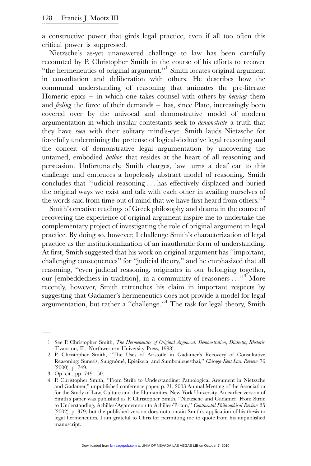a constructive power that girds legal practice, even if all too often this critical power is suppressed.

Nietzsche's as-yet unanswered challenge to law has been carefully recounted by P. Christopher Smith in the course of his efforts to recover "the hermeneutics of original argument."<sup>1</sup> Smith locates original argument in consultation and deliberation with others. He describes how the communal understanding of reasoning that animates the pre-literate Homeric epics  $-$  in which one takes counsel with others by *hearing* them and *feeling* the force of their demands  $-$  has, since Plato, increasingly been covered over by the univocal and demonstrative model of modern argumentation in which insular contestants seek to demonstrate a truth that they have seen with their solitary mind's-eye. Smith lauds Nietzsche for forcefully undermining the pretense of logical-deductive legal reasoning and the conceit of demonstrative legal argumentation by uncovering the untamed, embodied pathos that resides at the heart of all reasoning and persuasion. Unfortunately, Smith charges, law turns a deaf ear to this challenge and embraces a hopelessly abstract model of reasoning. Smith concludes that ''judicial reasoning ... has effectively displaced and buried the original ways we exist and talk with each other in availing ourselves of the words said from time out of mind that we have first heard from others.''2

Smith's creative readings of Greek philosophy and drama in the course of recovering the experience of original argument inspire me to undertake the complementary project of investigating the role of original argument in legal practice. By doing so, however, I challenge Smith's characterization of legal practice as the institutionalization of an inauthentic form of understanding. At first, Smith suggested that his work on original argument has ''important, challenging consequences'' for ''judicial theory,'' and he emphasized that all reasoning, ''even judicial reasoning, originates in our belonging together, our [embeddedness in tradition], in a community of reasoners ...'<sup>3</sup> More recently, however, Smith retrenches his claim in important respects by suggesting that Gadamer's hermeneutics does not provide a model for legal argumentation, but rather a ''challenge.''<sup>4</sup> The task for legal theory, Smith

<sup>1.</sup> See P. Christopher Smith, The Hermeneutics of Original Argument: Demonstration, Dialectic, Rhetoric (Evanston, IL: Northwestern University Press, 1998).

<sup>2.</sup> P. Christopher Smith, ''The Uses of Aristotle in Gadamer's Recovery of Consultative Reasoning: Sunesis, Sungnômê, Epieikeia, and Sumbouleuesthai," Chicago-Kent Law Review 76 (2000), p. 749.

<sup>3.</sup> Op. cit., pp. 749-50.

<sup>4.</sup> P. Christopher Smith, ''From Strife to Understanding: Pathological Argument in Nietzsche and Gadamer,'' unpublished conference paper, p. 21, 2003 Annual Meeting of the Association for the Study of Law, Culture and the Humanities, New York University. An earlier version of Smith's paper was published as P. Christopher Smith, ''Nietzsche and Gadamer: From Strife to Understanding, Achilles/Agamemnon to Achilles/Priam," Continental Philosophical Review 35 (2002), p. 379, but the published version does not contain Smith's application of his thesis to legal hermeneutics. I am grateful to Chris for permitting me to quote from his unpublished manuscript.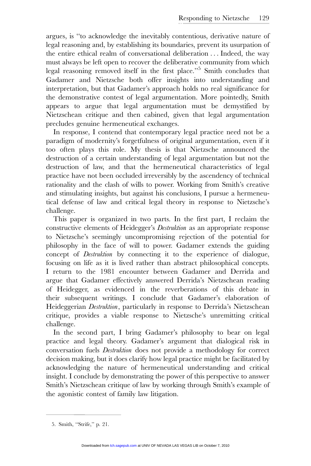argues, is ''to acknowledge the inevitably contentious, derivative nature of legal reasoning and, by establishing its boundaries, prevent its usurpation of the entire ethical realm of conversational deliberation ... Indeed, the way must always be left open to recover the deliberative community from which legal reasoning removed itself in the first place.<sup>"5</sup> Smith concludes that Gadamer and Nietzsche both offer insights into understanding and interpretation, but that Gadamer's approach holds no real significance for the demonstrative contest of legal argumentation. More pointedly, Smith appears to argue that legal argumentation must be demystified by Nietzschean critique and then cabined, given that legal argumentation precludes genuine hermeneutical exchanges.

In response, I contend that contemporary legal practice need not be a paradigm of modernity's forgetfulness of original argumentation, even if it too often plays this role. My thesis is that Nietzsche announced the destruction of a certain understanding of legal argumentation but not the destruction of law, and that the hermeneutical characteristics of legal practice have not been occluded irreversibly by the ascendency of technical rationality and the clash of wills to power. Working from Smith's creative and stimulating insights, but against his conclusions, I pursue a hermeneutical defense of law and critical legal theory in response to Nietzsche's challenge.

This paper is organized in two parts. In the first part, I reclaim the constructive elements of Heidegger's Destruktion as an appropriate response to Nietzsche's seemingly uncompromising rejection of the potential for philosophy in the face of will to power. Gadamer extends the guiding concept of Destruktion by connecting it to the experience of dialogue, focusing on life as it is lived rather than abstract philosophical concepts. I return to the 1981 encounter between Gadamer and Derrida and argue that Gadamer effectively answered Derrida's Nietzschean reading of Heidegger, as evidenced in the reverberations of this debate in their subsequent writings. I conclude that Gadamer's elaboration of Heideggerian Destruktion, particularly in response to Derrida's Nietzschean critique, provides a viable response to Nietzsche's unremitting critical challenge.

In the second part, I bring Gadamer's philosophy to bear on legal practice and legal theory. Gadamer's argument that dialogical risk in conversation fuels Destruktion does not provide a methodology for correct decision making, but it does clarify how legal practice might be facilitated by acknowledging the nature of hermeneutical understanding and critical insight. I conclude by demonstrating the power of this perspective to answer Smith's Nietzschean critique of law by working through Smith's example of the agonistic contest of family law litigation.

<sup>5.</sup> Smith, ''Strife,'' p. 21.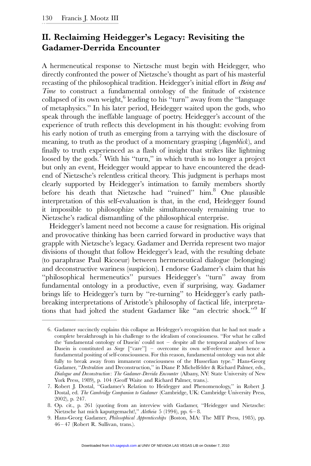#### II. Reclaiming Heidegger's Legacy: Revisiting the Gadamer-Derrida Encounter

A hermeneutical response to Nietzsche must begin with Heidegger, who directly confronted the power of Nietzsche's thought as part of his masterful recasting of the philosophical tradition. Heidegger's initial effort in Being and Time to construct a fundamental ontology of the finitude of existence collapsed of its own weight, $6$  leading to his "turn" away from the "language" of metaphysics.'' In his later period, Heidegger waited upon the gods, who speak through the ineffable language of poetry. Heidegger's account of the experience of truth reflects this development in his thought: evolving from his early notion of truth as emerging from a tarrying with the disclosure of meaning, to truth as the product of a momentary grasping (*Augenblick*), and finally to truth experienced as a flash of insight that strikes like lightning loosed by the gods.<sup>7</sup> With his "turn," in which truth is no longer a project but only an event, Heidegger would appear to have encountered the deadend of Nietzsche's relentless critical theory. This judgment is perhaps most clearly supported by Heidegger's intimation to family members shortly before his death that Nietzsche had ''ruined'' him.8 One plausible interpretation of this self-evaluation is that, in the end, Heidegger found it impossible to philosophize while simultaneously remaining true to Nietzsche's radical dismantling of the philosophical enterprise.

Heidegger's lament need not become a cause for resignation. His original and provocative thinking has been carried forward in productive ways that grapple with Nietzsche's legacy. Gadamer and Derrida represent two major divisions of thought that follow Heidegger's lead, with the resulting debate (to paraphrase Paul Ricoeur) between hermeneutical dialogue (belonging) and deconstructive wariness (suspicion). I endorse Gadamer's claim that his ''philosophical hermeneutics'' pursues Heidegger's ''turn'' away from fundamental ontology in a productive, even if surprising, way. Gadamer brings life to Heidegger's turn by ''re-turning'' to Heidegger's early pathbreaking interpretations of Aristotle's philosophy of factical life, interpretations that had jolted the student Gadamer like ''an electric shock.''9 If

<sup>6.</sup> Gadamer succinctly explains this collapse as Heidegger's recognition that he had not made a complete breakthrough in his challenge to the idealism of consciousness. ''For what he called the 'fundamental ontology of Dasein' could not despite all the temporal analyses of how Dasein is constituted as Sorge ["care"] - overcome its own self-reference and hence a fundamental positing of self-consciousness. For this reason, fundamental ontology was not able fully to break away from immanent consciousness of the Husserlian type." Hans-Georg Gadamer, "Destruktion and Deconstruction," in Diane P. Michelfelder & Richard Palmer, eds., Dialogue and Deconstruction: The Gadamer-Derrida Encounter (Albany, NY: State University of New York Press, 1989), p. 104 (Geoff Waite and Richard Palmer, trans.).

<sup>7.</sup> Robert J. Dostal, ''Gadamer's Relation to Heidegger and Phenomenology,'' in Robert J. Dostal, ed. The Cambridge Companion to Gadamer (Cambridge, UK: Cambridge University Press, 2002), p. 247.

<sup>8.</sup> Op. cit., p. 261 (quoting from an interview with Gadamer, ''Heidegger und Nietzsche: Nietzsche hat mich kaputtgemacht!," Aletheia 5 (1994), pp. 6-8.

<sup>9.</sup> Hans-Georg Gadamer, Philosophical Apprenticeships (Boston, MA: The MIT Press, 1985), pp. 46 47 (Robert R. Sullivan, trans.).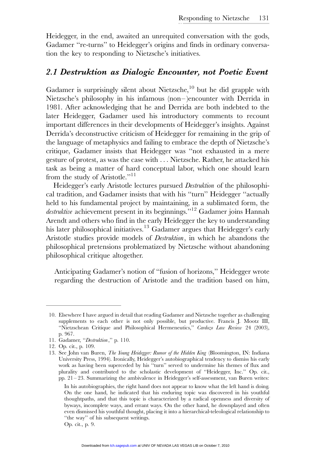Heidegger, in the end, awaited an unrequited conversation with the gods, Gadamer ''re-turns'' to Heidegger's origins and finds in ordinary conversation the key to responding to Nietzsche's initiatives.

#### 2.1 Destruktion as Dialogic Encounter, not Poetic Event

Gadamer is surprisingly silent about Nietzsche, $^{10}$  but he did grapple with Nietzsche's philosophy in his infamous (non-)encounter with Derrida in 1981. After acknowledging that he and Derrida are both indebted to the later Heidegger, Gadamer used his introductory comments to recount important differences in their developments of Heidegger's insights. Against Derrida's deconstructive criticism of Heidegger for remaining in the grip of the language of metaphysics and failing to embrace the depth of Nietzsche's critique, Gadamer insists that Heidegger was ''not exhausted in a mere gesture of protest, as was the case with ... Nietzsche. Rather, he attacked his task as being a matter of hard conceptual labor, which one should learn from the study of Aristotle."<sup>11</sup>

Heidegger's early Aristotle lectures pursued *Destruktion* of the philosophical tradition, and Gadamer insists that with his ''turn'' Heidegger ''actually held to his fundamental project by maintaining, in a sublimated form, the destruktive achievement present in its beginnings."<sup>12</sup> Gadamer joins Hannah Arendt and others who find in the early Heidegger the key to understanding his later philosophical initiatives.<sup>13</sup> Gadamer argues that Heidegger's early Aristotle studies provide models of Destruktion, in which he abandons the philosophical pretensions problematized by Nietzsche without abandoning philosophical critique altogether.

Anticipating Gadamer's notion of ''fusion of horizons,'' Heidegger wrote regarding the destruction of Aristotle and the tradition based on him,

<sup>10.</sup> Elsewhere I have argued in detail that reading Gadamer and Nietzsche together as challenging supplements to each other is not only possible, but productive. Francis J. Mootz III, ''Nietzschean Critique and Philosophical Hermeneutics,'' Cardozo Law Review 24 (2003), p. 967.

<sup>11.</sup> Gadamer, "Destruktion," p. 110.

<sup>12.</sup> Op. cit., p. 109.

<sup>13.</sup> See John van Buren, The Young Heidegger: Rumor of the Hidden King (Bloomington, IN: Indiana University Press, 1994). Ironically, Heidegger's autobiographical tendency to dismiss his early work as having been superceded by his ''turn'' served to undermine his themes of flux and plurality and contributed to the scholastic development of ''Heidegger, Inc.'' Op. cit., pp.  $21 - 23$ . Summarizing the ambivalence in Heidegger's self-assessment, van Buren writes:

In his autobiographies, the right hand does not appear to know what the left hand is doing. On the one hand, he indicated that his enduring topic was discovered in his youthful thoughtpaths, and that this topic is characterized by a radical openness and diversity of byways, incomplete ways, and errant ways. On the other hand, he downplayed and often even dismissed his youthful thought, placing it into a hierarchical-teleological relationship to ''the way'' of his subsequent writings.

Op. cit., p. 9.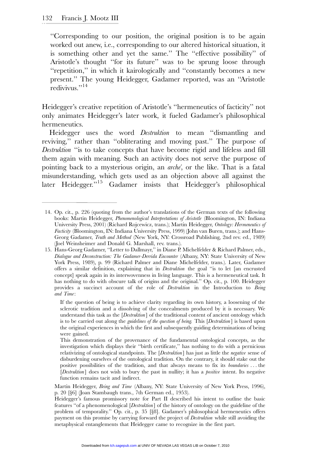''Corresponding to our position, the original position is to be again worked out anew, i.e., corresponding to our altered historical situation, it is something other and yet the same.'' The ''effective possibility'' of Aristotle's thought ''for its future'' was to be sprung loose through ''repetition,'' in which it kairologically and ''constantly becomes a new present.'' The young Heidegger, Gadamer reported, was an ''Aristotle redivivus<sup>",14</sup>

Heidegger's creative repetition of Aristotle's ''hermeneutics of facticity'' not only animates Heidegger's later work, it fueled Gadamer's philosophical hermeneutics.

Heidegger uses the word Destruktion to mean ''dismantling and reviving,'' rather than ''obliterating and moving past.'' The purpose of Destruktion ''is to take concepts that have become rigid and lifeless and fill them again with meaning. Such an activity does not serve the purpose of pointing back to a mysterious origin, an *arché*, or the like. That is a fatal misunderstanding, which gets used as an objection above all against the later Heidegger.<sup>5,15</sup> Gadamer insists that Heidegger's philosophical

<sup>14.</sup> Op. cit., p. 226 (quoting from the author's translations of the German texts of the following books: Martin Heidegger, Phenomenological Interpretations of Aristotle (Bloomington, IN: Indiana University Press, 2001) (Richard Rojcewicz, trans.); Martin Heidegger, Ontology: Hermeneutics of Facticity (Bloomington, IN: Indiana University Press, 1999) (John van Buren, trans.); and Hans-Georg Gadamer, Truth and Method (New York, NY: Crossroad Publishing, 2nd rev. ed., 1989) (Joel Weinsheimer and Donald G. Marshall, rev. trans.).

<sup>15.</sup> Hans-Georg Gadamer, ''Letter to Dallmayr,'' in Diane P. Michelfelder & Richard Palmer, eds., Dialogue and Deconstruction: The Gadamer-Derrida Encounter (Albany, NY: State University of New York Press, 1989), p. 99 (Richard Palmer and Diane Michelfelder, trans.). Later, Gadamer offers a similar definition, explaining that in Destruktion the goal ''is to let [an encrusted concept] speak again in its interwovenness in living language. This is a hermeneutical task. It has nothing to do with obscure talk of origins and the original.'' Op. cit., p. 100. Heidegger provides a succinct account of the role of Destruktion in the Introduction to Being and Time:

If the question of being is to achieve clarity regarding its own history, a loosening of the sclerotic tradition and a dissolving of the concealments produced by it is necessary. We understand this task as the [*Destruktion*] of the traditional content of ancient ontology which is to be carried out along the *guidelines of the question of being*. This [*Destruktion*] is based upon the original experiences in which the first and subsequently guiding determinations of being were gained.

This demonstration of the provenance of the fundamental ontological concepts, as the investigation which displays their ''birth certificate,'' has nothing to do with a pernicious relativizing of ontological standpoints. The [Destruktion] has just as little the negative sense of disburdening ourselves of the ontological tradition. On the contrary, it should stake out the positive possibilities of the tradition, and that always means to fix its boundaries ... the [Destruktion] does not wish to bury the past in nullity; it has a *positive* intent. Its negative function remains tacit and indirect.

Martin Heidegger, Being and Time (Albany, NY: State University of New York Press, 1996), p. 20 [§6] (Joan Stambaugh trans., 7th German ed., 1953).

Heidegger's famous promissory note for Part II described his intent to outline the basic features "of a phenomenological [*Destruktion*] of the history of ontology on the guideline of the problem of temporality.'' Op. cit., p. 35 [§8]. Gadamer's philosophical hermeneutics offers payment on this promise by carrying forward the project of Destruktion while still avoiding the metaphysical entanglements that Heidegger came to recognize in the first part.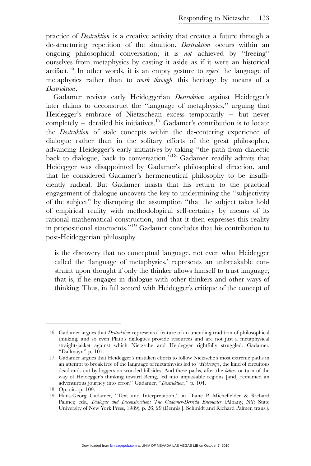practice of Destruktion is a creative activity that creates a future through a de-structuring repetition of the situation. Destruktion occurs within an ongoing philosophical conversation; it is not achieved by ''freeing'' ourselves from metaphysics by casting it aside as if it were an historical artifact.<sup>16</sup> In other words, it is an empty gesture to *reject* the language of metaphysics rather than to work through this heritage by means of a Destruktion.

Gadamer revives early Heideggerian Destruktion against Heidegger's later claims to deconstruct the ''language of metaphysics,'' arguing that Heidegger's embrace of Nietzschean excess temporarily - but never completely  $-$  derailed his initiatives.<sup>17</sup> Gadamer's contribution is to locate the Destruktion of stale concepts within the de-centering experience of dialogue rather than in the solitary efforts of the great philosopher, advancing Heidegger's early initiatives by taking ''the path from dialectic back to dialogue, back to conversation.''18 Gadamer readily admits that Heidegger was disappointed by Gadamer's philosophical direction, and that he considered Gadamer's hermeneutical philosophy to be insufficiently radical. But Gadamer insists that his return to the practical engagement of dialogue uncovers the key to undermining the ''subjectivity of the subject'' by disrupting the assumption ''that the subject takes hold of empirical reality with methodological self-certainty by means of its rational mathematical construction, and that it then expresses this reality in propositional statements.''19 Gadamer concludes that his contribution to post-Heideggerian philosophy

is the discovery that no conceptual language, not even what Heidegger called the 'language of metaphysics,' represents an unbreakable constraint upon thought if only the thinker allows himself to trust language; that is, if he engages in dialogue with other thinkers and other ways of thinking. Thus, in full accord with Heidegger's critique of the concept of

<sup>16.</sup> Gadamer argues that Destruktion represents a feature of an unending tradition of philosophical thinking, and so even Plato's dialogues provide resources and are not just a metaphysical straight-jacket against which Nietzsche and Heidegger rightfully struggled. Gadamer, ''Dallmayr,'' p. 101.

<sup>17.</sup> Gadamer argues that Heidegger's mistaken efforts to follow Nietzsche's most extreme paths in an attempt to break free of the language of metaphysics led to "Holzwege, the kind of circuitous dead-ends cut by loggers on wooded hillsides. And these paths, after the kehre, or turn of the way of Heidegger's thinking toward Being, led into impassable regions [and] remained an adventurous journey into error." Gadamer, "Destruktion," p. 104.

<sup>18.</sup> Op. cit., p. 109.

<sup>19.</sup> Hans-Georg Gadamer, ''Text and Interpretation,'' in Diane P. Michelfelder & Richard Palmer, eds., *Dialogue and Deconstruction: The Gadamer-Derrida Encounter* (Albany, NY: State University of New York Press, 1989), p. 26, 29 (Dennis J. Schmidt and Richard Palmer, trans.).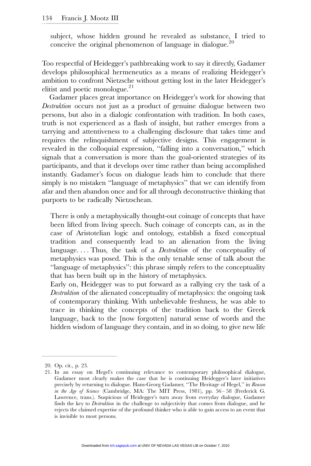subject, whose hidden ground he revealed as substance, I tried to conceive the original phenomenon of language in dialogue.<sup>20</sup>

Too respectful of Heidegger's pathbreaking work to say it directly, Gadamer develops philosophical hermeneutics as a means of realizing Heidegger's ambition to confront Nietzsche without getting lost in the later Heidegger's elitist and poetic monologue. $21$ 

Gadamer places great importance on Heidegger's work for showing that Destruktion occurs not just as a product of genuine dialogue between two persons, but also in a dialogic confrontation with tradition. In both cases, truth is not experienced as a flash of insight, but rather emerges from a tarrying and attentiveness to a challenging disclosure that takes time and requires the relinquishment of subjective designs. This engagement is revealed in the colloquial expression, ''falling into a conversation,'' which signals that a conversation is more than the goal-oriented strategies of its participants, and that it develops over time rather than being accomplished instantly. Gadamer's focus on dialogue leads him to conclude that there simply is no mistaken ''language of metaphysics'' that we can identify from afar and then abandon once and for all through deconstructive thinking that purports to be radically Nietzschean.

There is only a metaphysically thought-out coinage of concepts that have been lifted from living speech. Such coinage of concepts can, as in the case of Aristotelian logic and ontology, establish a fixed conceptual tradition and consequently lead to an alienation from the living language.... Thus, the task of a *Destruktion* of the conceptuality of metaphysics was posed. This is the only tenable sense of talk about the ''language of metaphysics'': this phrase simply refers to the conceptuality that has been built up in the history of metaphysics.

Early on, Heidegger was to put forward as a rallying cry the task of a Destruktion of the alienated conceptuality of metaphysics: the ongoing task of contemporary thinking. With unbelievable freshness, he was able to trace in thinking the concepts of the tradition back to the Greek language, back to the [now forgotten] natural sense of words and the hidden wisdom of language they contain, and in so doing, to give new life

<sup>20.</sup> Op. cit., p. 23.

<sup>21.</sup> In an essay on Hegel's continuing relevance to contemporary philosophical dialogue, Gadamer most clearly makes the case that he is continuing Heidegger's later initiatives precisely by returning to dialogue. Hans-Georg Gadamer, "The Heritage of Hegel," in Reason in the Age of Science (Cambridge, MA: The MIT Press, 1981), pp. 56-58 (Frederick G. Lawrence, trans.). Suspicious of Heidegger's turn away from everyday dialogue, Gadamer finds the key to Destruktion in the challenge to subjectivity that comes from dialogue, and he rejects the claimed expertise of the profound thinker who is able to gain access to an event that is invisible to most persons.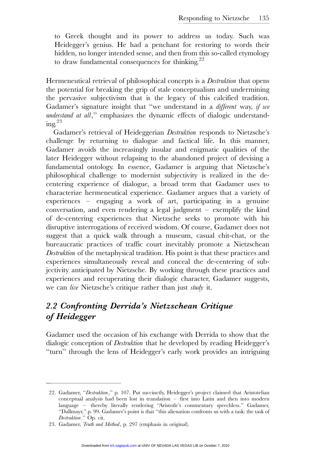to Greek thought and its power to address us today. Such was Heidegger's genius. He had a penchant for restoring to words their hidden, no longer intended sense, and then from this so-called etymology to draw fundamental consequences for thinking.<sup>22</sup>

Hermeneutical retrieval of philosophical concepts is a *Destruktion* that opens the potential for breaking the grip of stale conceptualism and undermining the pervasive subjectivism that is the legacy of this calcified tradition. Gadamer's signature insight that "we understand in a *different* way, if we understand at all," emphasizes the dynamic effects of dialogic understand $inc<sup>23</sup>$ 

Gadamer's retrieval of Heideggerian Destruktion responds to Nietzsche's challenge by returning to dialogue and factical life. In this manner, Gadamer avoids the increasingly insular and enigmatic qualities of the later Heidegger without relapsing to the abandoned project of devising a fundamental ontology. In essence, Gadamer is arguing that Nietzsche's philosophical challenge to modernist subjectivity is realized in the decentering experience of dialogue, a broad term that Gadamer uses to characterize hermeneutical experience. Gadamer argues that a variety of experiences – engaging a work of art, participating in a genuine conversation, and even rendering a legal judgment  $-$  exemplify the kind of de-centering experiences that Nietzsche seeks to promote with his disruptive interrogations of received wisdom. Of course, Gadamer does not suggest that a quick walk through a museum, casual chit-chat, or the bureaucratic practices of traffic court inevitably promote a Nietzschean Destruktion of the metaphysical tradition. His point is that these practices and experiences simultaneously reveal and conceal the de-centering of subjectivity anticipated by Nietzsche. By working through these practices and experiences and recuperating their dialogic character, Gadamer suggests, we can live Nietzsche's critique rather than just study it.

#### 2.2 Confronting Derrida's Nietzschean Critique of Heidegger

Gadamer used the occasion of his exchange with Derrida to show that the dialogic conception of Destruktion that he developed by reading Heidegger's ''turn'' through the lens of Heidegger's early work provides an intriguing

<sup>22.</sup> Gadamer, "Destruktion," p. 107. Put succinctly, Heidegger's project claimed that Aristotelian  $\alpha$  conceptual analysis had been lost in translation  $-$  first into Latin and then into modern language – thereby literally rendering "Aristotle's commentary speechless." Gadamer, ''Dallmayr,'' p. 99. Gadamer's point is that ''this alienation confronts us with a task: the task of Destruktion." Op. cit.

<sup>23.</sup> Gadamer, Truth and Method, p. 297 (emphasis in original).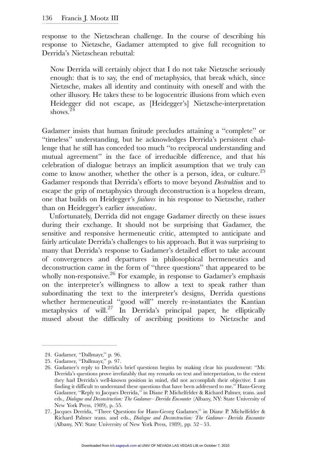response to the Nietzschean challenge. In the course of describing his response to Nietzsche, Gadamer attempted to give full recognition to Derrida's Nietzschean rebuttal:

Now Derrida will certainly object that I do not take Nietzsche seriously enough: that is to say, the end of metaphysics, that break which, since Nietzsche, makes all identity and continuity with oneself and with the other illusory. He takes these to be logocentric illusions from which even Heidegger did not escape, as [Heidegger's] Nietzsche-interpretation shows.<sup>2</sup>

Gadamer insists that human finitude precludes attaining a ''complete'' or ''timeless'' understanding, but he acknowledges Derrida's persistent challenge that he still has conceded too much ''to reciprocal understanding and mutual agreement'' in the face of irreducible difference, and that his celebration of dialogue betrays an implicit assumption that we truly can come to know another, whether the other is a person, idea, or culture.<sup>25</sup> Gadamer responds that Derrida's efforts to move beyond Destruktion and to escape the grip of metaphysics through deconstruction is a hopeless dream, one that builds on Heidegger's failures in his response to Nietzsche, rather than on Heidegger's earlier innovations.

Unfortunately, Derrida did not engage Gadamer directly on these issues during their exchange. It should not be surprising that Gadamer, the sensitive and responsive hermeneutic critic, attempted to anticipate and fairly articulate Derrida's challenges to his approach. But it was surprising to many that Derrida's response to Gadamer's detailed effort to take account of convergences and departures in philosophical hermeneutics and deconstruction came in the form of ''three questions'' that appeared to be wholly non-responsive.<sup>26</sup> For example, in response to Gadamer's emphasis on the interpreter's willingness to allow a text to speak rather than subordinating the text to the interpreter's designs, Derrida questions whether hermeneutical ''good will'' merely re-instantiates the Kantian metaphysics of will. $^{27}$  In Derrida's principal paper, he elliptically mused about the difficulty of ascribing positions to Nietzsche and

<sup>24.</sup> Gadamer, ''Dallmayr,'' p. 96.

<sup>25.</sup> Gadamer, ''Dallmayr,'' p. 97.

<sup>26.</sup> Gadamer's reply to Derrida's brief questions begins by making clear his puzzlement: ''Mr. Derrida's questions prove irrefutably that my remarks on text and interpretation, to the extent they had Derrida's well-known position in mind, did not accomplish their objective. I am finding it difficult to understand these questions that have been addressed to me.'' Hans-Georg Gadamer, ''Reply to Jacques Derrida,'' in Diane P. Michelfelder & Richard Palmer, trans. and eds., Dialogue and Deconstruction: The Gadamer-Derrida Encounter (Albany, NY: State University of New York Press, 1989), p. 55.

<sup>27.</sup> Jacques Derrida, ''Three Questions for Hans-Georg Gadamer,'' in Diane P. Michelfelder & Richard Palmer trans. and eds., Dialogue and Deconstruction: The Gadamer-Derrida Encounter (Albany, NY: State University of New York Press, 1989), pp. 52–53.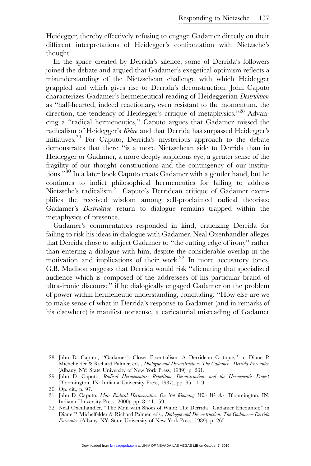Heidegger, thereby effectively refusing to engage Gadamer directly on their different interpretations of Heidegger's confrontation with Nietzsche's thought.

In the space created by Derrida's silence, some of Derrida's followers joined the debate and argued that Gadamer's exegetical optimism reflects a misunderstanding of the Nietzschean challenge with which Heidegger grappled and which gives rise to Derrida's deconstruction. John Caputo characterizes Gadamer's hermeneutical reading of Heideggerian Destruktion as ''half-hearted, indeed reactionary, even resistant to the momentum, the direction, the tendency of Heidegger's critique of metaphysics."<sup>28</sup> Advancing a ''radical hermeneutics,'' Caputo argues that Gadamer missed the radicalism of Heidegger's Kehre and that Derrida has surpassed Heidegger's initiatives.29 For Caputo, Derrida's mysterious approach to the debate demonstrates that there ''is a more Nietzschean side to Derrida than in Heidegger or Gadamer, a more deeply suspicious eye, a greater sense of the fragility of our thought constructions and the contingency of our institutions."<sup>30</sup> In a later book Caputo treats Gadamer with a gentler hand, but he continues to indict philosophical hermeneutics for failing to address Nietzsche's radicalism.31 Caputo's Derridean critique of Gadamer exemplifies the received wisdom among self-proclaimed radical theorists: Gadamer's Destruktive return to dialogue remains trapped within the metaphysics of presence.

Gadamer's commentators responded in kind, criticizing Derrida for failing to risk his ideas in dialogue with Gadamer. Neal Oxenhandler alleges that Derrida chose to subject Gadamer to ''the cutting edge of irony'' rather than entering a dialogue with him, despite the considerable overlap in the motivation and implications of their work.<sup>32</sup> In more accusatory tones, G.B. Madison suggests that Derrida would risk ''alienating that specialized audience which is composed of the addressees of his particular brand of ultra-ironic discourse'' if he dialogically engaged Gadamer on the problem of power within hermeneutic understanding, concluding: ''How else are we to make sense of what in Derrida's response to Gadamer (and in remarks of his elsewhere) is manifest nonsense, a caricaturial misreading of Gadamer

<sup>28.</sup> John D. Caputo, ''Gadamer's Closet Essentialism: A Derridean Critique,'' in Diane P. Michelfelder & Richard Palmer, eds., Dialogue and Deconstruction: The Gadamer-Derrida Encounter (Albany, NY: State University of New York Press, 1989), p. 261.

<sup>29.</sup> John D. Caputo, Radical Hermeneutics: Repetition, Deconstruction, and the Hermeneutic Project (Bloomington, IN: Indiana University Press, 1987), pp. 95 - 119.

<sup>30.</sup> Op. cit., p. 97.

<sup>31.</sup> John D. Caputo, More Radical Hermeneutics: On Not Knowing Who We Are (Bloomington, IN: Indiana University Press,  $2000$ ), pp. 8,  $41-59$ .

<sup>32.</sup> Neal Oxenhandler, ''The Man with Shoes of Wind: The Derrida Gadamer Encounter,'' in Diane P. Michelfelder & Richard Palmer, eds., Dialogue and Deconstruction: The Gadamer-Derrida Encounter (Albany, NY: State University of New York Press, 1989), p. 265.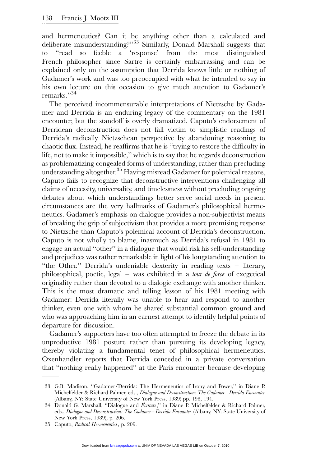and hermeneutics? Can it be anything other than a calculated and deliberate misunderstanding?"<sup>33</sup> Similarly, Donald Marshall suggests that to ''read so feeble a 'response' from the most distinguished French philosopher since Sartre is certainly embarrassing and can be explained only on the assumption that Derrida knows little or nothing of Gadamer's work and was too preoccupied with what he intended to say in his own lecture on this occasion to give much attention to Gadamer's remarks."<sup>34</sup>

The perceived incommensurable interpretations of Nietzsche by Gadamer and Derrida is an enduring legacy of the commentary on the 1981 encounter, but the standoff is overly dramatized. Caputo's endorsement of Derridean deconstruction does not fall victim to simplistic readings of Derrida's radically Nietzschean perspective by abandoning reasoning to chaotic flux. Instead, he reaffirms that he is ''trying to restore the difficulty in life, not to make it impossible,'' which is to say that he regards deconstruction as problematizing congealed forms of understanding, rather than precluding understanding altogether.<sup>35</sup> Having misread Gadamer for polemical reasons, Caputo fails to recognize that deconstructive interventions challenging all claims of necessity, universality, and timelessness without precluding ongoing debates about which understandings better serve social needs in present circumstances are the very hallmarks of Gadamer's philosophical hermeneutics. Gadamer's emphasis on dialogue provides a non-subjectivist means of breaking the grip of subjectivism that provides a more promising response to Nietzsche than Caputo's polemical account of Derrida's deconstruction. Caputo is not wholly to blame, inasmuch as Derrida's refusal in 1981 to engage an actual ''other'' in a dialogue that would risk his self-understanding and prejudices was rather remarkable in light of his longstanding attention to "the Other." Derrida's undeniable dexterity in reading texts  $-$  literary, philosophical, poetic, legal  $-$  was exhibited in a *tour de force* of exegetical originality rather than devoted to a dialogic exchange with another thinker. This is the most dramatic and telling lesson of his 1981 meeting with Gadamer: Derrida literally was unable to hear and respond to another thinker, even one with whom he shared substantial common ground and who was approaching him in an earnest attempt to identify helpful points of departure for discussion.

Gadamer's supporters have too often attempted to freeze the debate in its unproductive 1981 posture rather than pursuing its developing legacy, thereby violating a fundamental tenet of philosophical hermeneutics. Oxenhandler reports that Derrida conceded in a private conversation that ''nothing really happened'' at the Paris encounter because developing

<sup>33.</sup> G.B. Madison, ''Gadamer/Derrida: The Hermeneutics of Irony and Power,'' in Diane P. Michelfelder & Richard Palmer, eds., Dialogue and Deconstruction: The Gadamer-Derrida Encounter (Albany, NY: State University of New York Press, 1989) pp. 198, 194.

<sup>34.</sup> Donald G. Marshall, "Dialogue and *Écriture*," in Diane P. Michelfelder & Richard Palmer, eds., Dialogue and Deconstruction: The Gadamer-Derrida Encounter (Albany, NY: State University of New York Press, 1989), p. 206.

<sup>35.</sup> Caputo, Radical Hermeneutics, p. 209.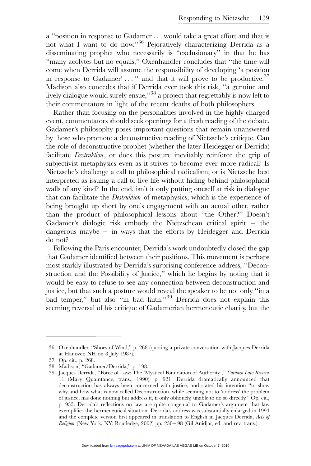a ''position in response to Gadamer ... would take a great effort and that is not what I want to do now."<sup>36</sup> Pejoratively characterizing Derrida as a disseminating prophet who necessarily is ''exclusionary'' in that he has ''many acolytes but no equals,'' Oxenhandler concludes that ''the time will come when Derrida will assume the responsibility of developing 'a position in response to Gadamer'  $\ldots$  " and that it will prove to be productive.<sup>37</sup> Madison also concedes that if Derrida ever took this risk, ''a genuine and lively dialogue would surely ensue,"<sup>38</sup> a project that regrettably is now left to their commentators in light of the recent deaths of both philosophers.

Rather than focusing on the personalities involved in the highly charged event, commentators should seek openings for a fresh reading of the debate. Gadamer's philosophy poses important questions that remain unanswered by those who promote a deconstructive reading of Nietzsche's critique. Can the role of deconstructive prophet (whether the later Heidegger or Derrida) facilitate Destruktion, or does this posture inevitably reinforce the grip of subjectivist metaphysics even as it strives to become ever more radical? Is Nietzsche's challenge a call to philosophical radicalism, or is Nietzsche best interpreted as issuing a call to live life without hiding behind philosophical walls of any kind? In the end, isn't it only putting oneself at risk in dialogue that can facilitate the Destruktion of metaphysics, which is the experience of being brought up short by one's engagement with an actual other, rather than the product of philosophical lessons about ''the Other?'' Doesn't Gadamer's dialogic risk embody the Nietzschean critical spirit - the dangerous maybe  $-$  in ways that the efforts by Heidegger and Derrida do not?

Following the Paris encounter, Derrida's work undoubtedly closed the gap that Gadamer identified between their positions. This movement is perhaps most starkly illustrated by Derrida's surprising conference address, ''Deconstruction and the Possibility of Justice,'' which he begins by noting that it would be easy to refuse to see any connection between deconstruction and justice, but that such a posture would reveal the speaker to be not only ''in a bad temper," but also "in bad faith."<sup>39</sup> Derrida does not explain this seeming reversal of his critique of Gadamerian hermeneutic charity, but the

<sup>36.</sup> Oxenhandler, ''Shoes of Wind,'' p. 268 (quoting a private conversation with Jacques Derrida at Hanover, NH on 8 July 1987).

<sup>37.</sup> Op. cit., p. 268.

<sup>38.</sup> Madison, ''Gadamer/Derrida,'' p. 198.

<sup>39.</sup> Jacques Derrida, "Force of Law: The 'Mystical Foundation of Authority'," Cardozo Law Review 11 (Mary Quaintance, trans., 1990), p. 921. Derrida dramatically announced that deconstruction has always been concerned with justice, and stated his intention ''to show why and how what is now called Deconstruction, while seeming not to 'address' the problem of justice, has done nothing but address it, if only obliquely, unable to do so directly.'' Op. cit., p. 935. Derrida's reflections on law are quite congenial to Gadamer's argument that law exemplifies the hermeneutical situation. Derrida's address was substantially enlarged in 1994 and the complete version first appeared in translation to English in Jacques Derrida, Acts of Religion (New York, NY: Routledge, 2002) pp. 230 - 98 (Gil Anidjar, ed. and rev. trans.).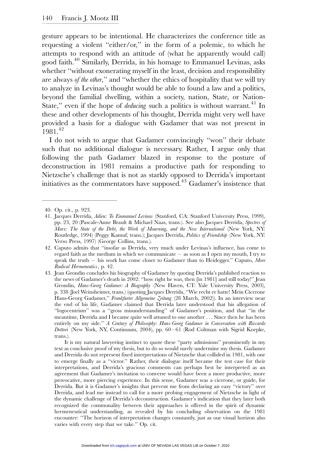gesture appears to be intentional. He characterizes the conference title as requesting a violent ''either/or,'' in the form of a polemic, to which he attempts to respond with an attitude of (what he apparently would call) good faith.40 Similarly, Derrida, in his homage to Emmanuel Levinas, asks whether "without exonerating myself in the least, decision and responsibility are always of the other,'' and ''whether the ethics of hospitality that we will try to analyze in Levinas's thought would be able to found a law and a politics, beyond the familial dwelling, within a society, nation, State, or Nation-State," even if the hope of *deducing* such a politics is without warrant.<sup>41</sup> In these and other developments of his thought, Derrida might very well have provided a basis for a dialogue with Gadamer that was not present in 1981.42

I do not wish to argue that Gadamer convincingly ''won'' their debate such that no additional dialogue is necessary. Rather, I argue only that following the path Gadamer blazed in response to the posture of deconstruction in 1981 remains a productive path for responding to Nietzsche's challenge that is not as starkly opposed to Derrida's important initiatives as the commentators have supposed.43 Gadamer's insistence that

It is my natural lawyering instinct to quote these ''party admissions'' prominently in my text as conclusive proof of my thesis, but to do so would surely undermine my thesis. Gadamer and Derrida do not represent fixed interpretations of Nietzsche that collided in 1981, with one to emerge finally as a ''victor.'' Rather, their dialogue itself became the test case for their interpretations, and Derrida's gracious comments can perhaps best be interpreted as an agreement that Gadamer's invitation to converse would have been a more productive, more provocative, more piercing experience. In this sense, Gadamer was a cicerone, or guide, for Derrida. But it is Gadamer's insights that prevent me from declaring an easy ''victory'' over Derrida, and lead me instead to call for a more probing engagement of Nietzsche in light of the dynamic challenge of Derrida's deconstruction. Gadamer's indication that they later both recognized the commonality between their approaches is offered in the spirit of dynamic hermeneutical understanding, as revealed by his concluding observation on the 1981 encounter: ''The horizon of interpretation changes constantly, just as our visual horizon also varies with every step that we take.'' Op. cit.

<sup>40.</sup> Op. cit., p. 923.

<sup>41.</sup> Jacques Derrida, Adieu: To Emmanuel Levinas (Stanford, CA: Stanford University Press, 1999), pp. 23, 20 (Pascale-Anne Brault & Michael Naas, trans.). See also Jacques Derrida, Spectres of Marx: The State of the Debt, the Work of Mourning, and the New International (New York, NY: Routledge, 1994) (Peggy Kamuf, trans.); Jacques Derrida, Politics of Friendship (New York, NY: Verso Press, 1997) (George Collins, trans.).

<sup>42.</sup> Caputo admits that ''insofar as Derrida, very much under Levinas's influence, has come to regard faith as the medium in which we communicate  $-$  as soon as I open my mouth, I try to speak the truth  $-$  his work has come closer to Gadamer than to Heidegger." Caputo, More Radical Hermeneutics, p. 42.

<sup>43.</sup> Jean Grondin concludes his biography of Gadamer by quoting Derrida's published reaction to the news of Gadamer's death in 2002: ''how right he was, then [in 1981] and still today!'' Jean Grondin, Hans-Georg Gadamer: A Biography (New Haven, CT: Yale University Press, 2003), p. 338 (Joel Weinsheimer, trans.) (quoting Jacques Derrida, ''Wie recht er hatte! Mein Cicerone Hans-Georg Gadamer," Frankfurter Allgemeine Zeitung (28 March, 2002)). In an interview near the end of his life, Gadamer claimed that Derrida later understood that his allegation of ''logocentrism'' was a ''gross misunderstanding'' of Gadamer's position, and that ''in the meantime, Derrida and I became quite well attuned to one another ... Since then he has been entirely on my side." A Century of Philosophy: Hans-Georg Gadamer in Conversation with Riccardo Dottori (New York, NY, Continuum, 2004), pp. 60-61 (Rod Coltman with Sigrid Koepke, trans.).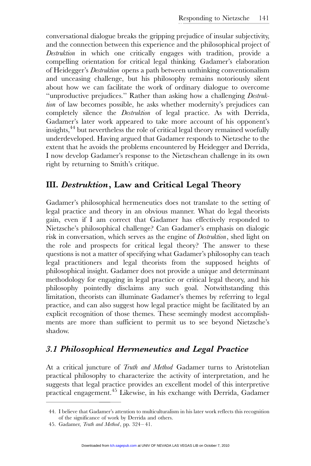conversational dialogue breaks the gripping prejudice of insular subjectivity, and the connection between this experience and the philosophical project of Destruktion in which one critically engages with tradition, provide a compelling orientation for critical legal thinking. Gadamer's elaboration of Heidegger's Destruktion opens a path between unthinking conventionalism and unceasing challenge, but his philosophy remains notoriously silent about how we can facilitate the work of ordinary dialogue to overcome ''unproductive prejudices.'' Rather than asking how a challenging Destruktion of law becomes possible, he asks whether modernity's prejudices can completely silence the Destruktion of legal practice. As with Derrida, Gadamer's later work appeared to take more account of his opponent's insights,<sup>44</sup> but nevertheless the role of critical legal theory remained woefully underdeveloped. Having argued that Gadamer responds to Nietzsche to the extent that he avoids the problems encountered by Heidegger and Derrida, I now develop Gadamer's response to the Nietzschean challenge in its own right by returning to Smith's critique.

#### III. Destruktion, Law and Critical Legal Theory

Gadamer's philosophical hermeneutics does not translate to the setting of legal practice and theory in an obvious manner. What do legal theorists gain, even if I am correct that Gadamer has effectively responded to Nietzsche's philosophical challenge? Can Gadamer's emphasis on dialogic risk in conversation, which serves as the engine of *Destruktion*, shed light on the role and prospects for critical legal theory? The answer to these questions is not a matter of specifying what Gadamer's philosophy can teach legal practitioners and legal theorists from the supposed heights of philosophical insight. Gadamer does not provide a unique and determinant methodology for engaging in legal practice or critical legal theory, and his philosophy pointedly disclaims any such goal. Notwithstanding this limitation, theorists can illuminate Gadamer's themes by referring to legal practice, and can also suggest how legal practice might be facilitated by an explicit recognition of those themes. These seemingly modest accomplishments are more than sufficient to permit us to see beyond Nietzsche's shadow.

#### 3.1 Philosophical Hermeneutics and Legal Practice

At a critical juncture of Truth and Method Gadamer turns to Aristotelian practical philosophy to characterize the activity of interpretation, and he suggests that legal practice provides an excellent model of this interpretive practical engagement.<sup>45</sup> Likewise, in his exchange with Derrida, Gadamer

<sup>44.</sup> I believe that Gadamer's attention to multiculturalism in his later work reflects this recognition of the significance of work by Derrida and others.

<sup>45.</sup> Gadamer, Truth and Method, pp.  $324 - 41$ .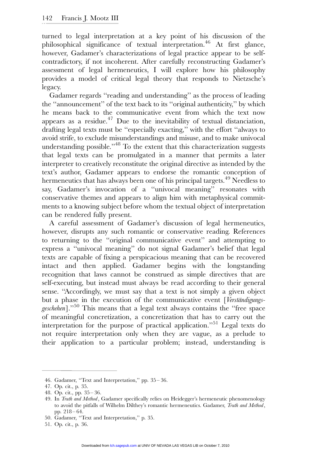turned to legal interpretation at a key point of his discussion of the philosophical significance of textual interpretation.<sup>46</sup> At first glance, however, Gadamer's characterizations of legal practice appear to be selfcontradictory, if not incoherent. After carefully reconstructing Gadamer's assessment of legal hermeneutics, I will explore how his philosophy provides a model of critical legal theory that responds to Nietzsche's legacy.

Gadamer regards ''reading and understanding'' as the process of leading the ''announcement'' of the text back to its ''original authenticity,'' by which he means back to the communicative event from which the text now appears as a residue.<sup> $47$ </sup> Due to the inevitability of textual distanciation, drafting legal texts must be ''especially exacting,'' with the effort ''always to avoid strife, to exclude misunderstandings and misuse, and to make univocal understanding possible."<sup>48</sup> To the extent that this characterization suggests that legal texts can be promulgated in a manner that permits a later interpreter to creatively reconstitute the original directive as intended by the text's author, Gadamer appears to endorse the romantic conception of hermeneutics that has always been one of his principal targets.<sup>49</sup> Needless to say, Gadamer's invocation of a ''univocal meaning'' resonates with conservative themes and appears to align him with metaphysical commitments to a knowing subject before whom the textual object of interpretation can be rendered fully present.

A careful assessment of Gadamer's discussion of legal hermeneutics, however, disrupts any such romantic or conservative reading. References to returning to the ''original communicative event'' and attempting to express a ''univocal meaning'' do not signal Gadamer's belief that legal texts are capable of fixing a perspicacious meaning that can be recovered intact and then applied. Gadamer begins with the longstanding recognition that laws cannot be construed as simple directives that are self-executing, but instead must always be read according to their general sense. ''Accordingly, we must say that a text is not simply a given object but a phase in the execution of the communicative event [Verständigungs*geschehen*].<sup> $1.50$ </sup> This means that a legal text always contains the "free space" of meaningful concretization, a concretization that has to carry out the interpretation for the purpose of practical application."<sup>51</sup> Legal texts do not require interpretation only when they are vague, as a prelude to their application to a particular problem; instead, understanding is

<sup>46.</sup> Gadamer, "Text and Interpretation," pp. 35 - 36.

<sup>47.</sup> Op. cit., p. 35.

<sup>48.</sup> Op. cit., pp. 35-36.

<sup>49.</sup> In Truth and Method, Gadamer specifically relies on Heidegger's hermeneutic phenomenology to avoid the pitfalls of Wilhelm Dilthey's romantic hermeneutics. Gadamer, Truth and Method, pp. 218 - 64.

<sup>50.</sup> Gadamer, ''Text and Interpretation,'' p. 35.

<sup>51.</sup> Op. cit., p. 36.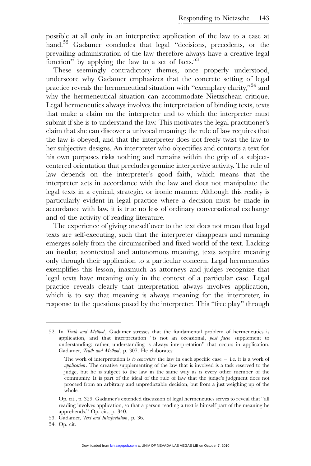possible at all only in an interpretive application of the law to a case at hand.<sup>52</sup> Gadamer concludes that legal "decisions, precedents, or the prevailing administration of the law therefore always have a creative legal function" by applying the law to a set of facts. $53$ 

These seemingly contradictory themes, once properly understood, underscore why Gadamer emphasizes that the concrete setting of legal practice reveals the hermeneutical situation with ''exemplary clarity,''54 and why the hermeneutical situation can accommodate Nietzschean critique. Legal hermeneutics always involves the interpretation of binding texts, texts that make a claim on the interpreter and to which the interpreter must submit if she is to understand the law. This motivates the legal practitioner's claim that she can discover a univocal meaning: the rule of law requires that the law is obeyed, and that the interpreter does not freely twist the law to her subjective designs. An interpreter who objectifies and contorts a text for his own purposes risks nothing and remains within the grip of a subjectcentered orientation that precludes genuine interpretive activity. The rule of law depends on the interpreter's good faith, which means that the interpreter acts in accordance with the law and does not manipulate the legal texts in a cynical, strategic, or ironic manner. Although this reality is particularly evident in legal practice where a decision must be made in accordance with law, it is true no less of ordinary conversational exchange and of the activity of reading literature.

The experience of giving oneself over to the text does not mean that legal texts are self-executing, such that the interpreter disappears and meaning emerges solely from the circumscribed and fixed world of the text. Lacking an insular, acontextual and autonomous meaning, texts acquire meaning only through their application to a particular concern. Legal hermeneutics exemplifies this lesson, inasmuch as attorneys and judges recognize that legal texts have meaning only in the context of a particular case. Legal practice reveals clearly that interpretation always involves application, which is to say that meaning is always meaning for the interpreter, in response to the questions posed by the interpreter. This ''free play'' through

<sup>52.</sup> In Truth and Method, Gadamer stresses that the fundamental problem of hermeneutics is application, and that interpretation "is not an occasional, *post facto* supplement to understanding; rather, understanding is always interpretation'' that occurs in application. Gadamer, Truth and Method, p. 307. He elaborates:

The work of interpretation is to concretize the law in each specific case  $-$  i.e. it is a work of application . The creative supplementing of the law that is involved is a task reserved to the judge, but he is subject to the law in the same way as is every other member of the community. It is part of the ideal of the rule of law that the judge's judgment does not proceed from an arbitrary and unpredictable decision, but from a just weighing up of the whole.

Op. cit., p. 329. Gadamer's extended discussion of legal hermeneutics serves to reveal that ''all reading involves application, so that a person reading a text is himself part of the meaning he apprehends.'' Op. cit., p. 340.

<sup>53.</sup> Gadamer, Text and Interpretation , p. 36.

<sup>54.</sup> Op. cit.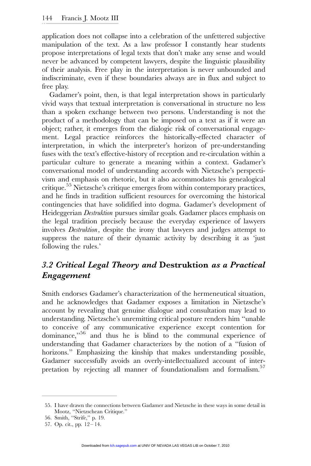application does not collapse into a celebration of the unfettered subjective manipulation of the text. As a law professor I constantly hear students propose interpretations of legal texts that don't make any sense and would never be advanced by competent lawyers, despite the linguistic plausibility of their analysis. Free play in the interpretation is never unbounded and indiscriminate, even if these boundaries always are in flux and subject to free play.

Gadamer's point, then, is that legal interpretation shows in particularly vivid ways that textual interpretation is conversational in structure no less than a spoken exchange between two persons. Understanding is not the product of a methodology that can be imposed on a text as if it were an object; rather, it emerges from the dialogic risk of conversational engagement. Legal practice reinforces the historically-effected character of interpretation, in which the interpreter's horizon of pre-understanding fuses with the text's effective-history of reception and re-circulation within a particular culture to generate a meaning within a context. Gadamer's conversational model of understanding accords with Nietzsche's perspectivism and emphasis on rhetoric, but it also accommodates his genealogical critique.55 Nietzsche's critique emerges from within contemporary practices, and he finds in tradition sufficient resources for overcoming the historical contingencies that have solidified into dogma. Gadamer's development of Heideggerian Destruktion pursues similar goals. Gadamer places emphasis on the legal tradition precisely because the everyday experience of lawyers involves Destruktion, despite the irony that lawyers and judges attempt to suppress the nature of their dynamic activity by describing it as 'just following the rules.'

#### 3.2 Critical Legal Theory and Destruktion as a Practical Engagement

Smith endorses Gadamer's characterization of the hermeneutical situation, and he acknowledges that Gadamer exposes a limitation in Nietzsche's account by revealing that genuine dialogue and consultation may lead to understanding. Nietzsche's unremitting critical posture renders him ''unable to conceive of any communicative experience except contention for dominance,<sup>556</sup> and thus he is blind to the communal experience of understanding that Gadamer characterizes by the notion of a ''fusion of horizons." Emphasizing the kinship that makes understanding possible, Gadamer successfully avoids an overly-intellectualized account of interpretation by rejecting all manner of foundationalism and formalism.<sup>57</sup>

<sup>55.</sup> I have drawn the connections between Gadamer and Nietzsche in these ways in some detail in Mootz, ''Nietzschean Critique.''

<sup>56.</sup> Smith, ''Strife,'' p. 19.

<sup>57.</sup> Op. cit., pp.  $12 - 14$ .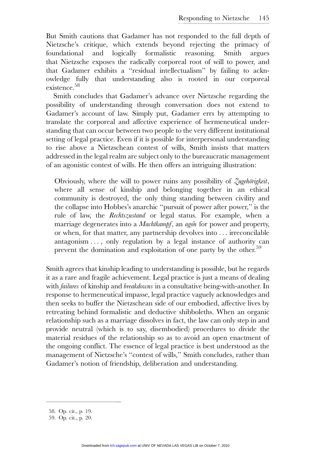But Smith cautions that Gadamer has not responded to the full depth of Nietzsche's critique, which extends beyond rejecting the primacy of foundational and logically formalistic reasoning. Smith argues that Nietzsche exposes the radically corporeal root of will to power, and that Gadamer exhibits a ''residual intellectualism'' by failing to acknowledge fully that understanding also is rooted in our corporeal existence.58

Smith concludes that Gadamer's advance over Nietzsche regarding the possibility of understanding through conversation does not extend to Gadamer's account of law. Simply put, Gadamer errs by attempting to translate the corporeal and affective experience of hermeneutical understanding that can occur between two people to the very different institutional setting of legal practice. Even if it is possible for interpersonal understanding to rise above a Nietzschean contest of wills, Smith insists that matters addressed in the legal realm are subject only to the bureaucratic management of an agonistic contest of wills. He then offers an intriguing illustration:

Obviously, where the will to power ruins any possibility of  $\zeta$  *ugehorigkeit*, where all sense of kinship and belonging together in an ethical community is destroyed, the only thing standing between civility and the collapse into Hobbes's anarchic ''pursuit of power after power,'' is the rule of law, the Rechtszustand or legal status. For example, when a marriage degenerates into a *Machtkampf*, an *agôn* for power and property, or when, for that matter, any partnership devolves into ... irreconcilable antagonism ... , only regulation by a legal instance of authority can prevent the domination and exploitation of one party by the other.<sup>59</sup>

Smith agrees that kinship leading to understanding is possible, but he regards it as a rare and fragile achievement. Legal practice is just a means of dealing with *failures* of kinship and *breakdowns* in a consultative being-with-another. In response to hermeneutical impasse, legal practice vaguely acknowledges and then seeks to buffer the Nietzschean side of our embodied, affective lives by retreating behind formalistic and deductive shibboleths. When an organic relationship such as a marriage dissolves in fact, the law can only step in and provide neutral (which is to say, disembodied) procedures to divide the material residues of the relationship so as to avoid an open enactment of the ongoing conflict. The essence of legal practice is best understood as the management of Nietzsche's ''contest of wills,'' Smith concludes, rather than Gadamer's notion of friendship, deliberation and understanding.

<sup>58.</sup> Op. cit., p. 19.

<sup>59.</sup> Op. cit., p. 20.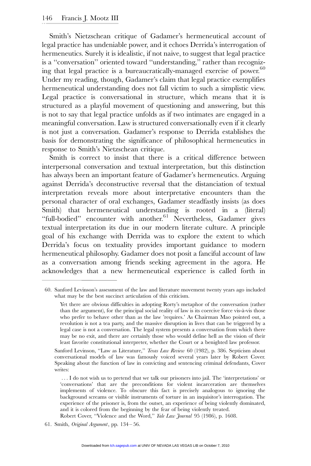Smith's Nietzschean critique of Gadamer's hermeneutical account of legal practice has undeniable power, and it echoes Derrida's interrogation of hermeneutics. Surely it is idealistic, if not naive, to suggest that legal practice is a ''conversation'' oriented toward ''understanding,'' rather than recognizing that legal practice is a bureaucratically-managed exercise of power.<sup>60</sup> Under my reading, though, Gadamer's claim that legal practice exemplifies hermeneutical understanding does not fall victim to such a simplistic view. Legal practice is conversational in structure, which means that it is structured as a playful movement of questioning and answering, but this is not to say that legal practice unfolds as if two intimates are engaged in a meaningful conversation. Law is structured conversationally even if it clearly is not just a conversation. Gadamer's response to Derrida establishes the basis for demonstrating the significance of philosophical hermeneutics in response to Smith's Nietzschean critique.

Smith is correct to insist that there is a critical difference between interpersonal conversation and textual interpretation, but this distinction has always been an important feature of Gadamer's hermeneutics. Arguing against Derrida's deconstructive reversal that the distanciation of textual interpretation reveals more about interpretative encounters than the personal character of oral exchanges, Gadamer steadfastly insists (as does Smith) that hermeneutical understanding is rooted in a (literal) "full-bodied" encounter with another. Nevertheless, Gadamer gives textual interpretation its due in our modern literate culture. A principle goal of his exchange with Derrida was to explore the extent to which Derrida's focus on textuality provides important guidance to modern hermeneutical philosophy. Gadamer does not posit a fanciful account of law as a conversation among friends seeking agreement in the agora. He acknowledges that a new hermeneutical experience is called forth in

<sup>60.</sup> Sanford Levinson's assessment of the law and literature movement twenty years ago included what may be the best succinct articulation of this criticism.

Yet there are obvious difficulties in adopting Rorty's metaphor of the conversation (rather than the argument), for the principal social reality of law is its coercive force vis-a`-vis those who prefer to behave other than as the law 'requires.' As Chairman Mao pointed out, a revolution is not a tea party, and the massive disruption in lives that can be triggered by a legal case is not a conversation. The legal system presents a conversation from which there may be no exit, and there are certainly those who would define hell as the vision of their least favorite constitutional interpreter, whether the Court or a benighted law professor.

Sanford Levinson, "Law as Literature," Texas Law Review 60 (1982), p. 386. Septicism about conversational models of law was famously voiced several years later by Robert Cover. Speaking about the function of law in convicting and sentencing criminal defendants, Cover writes:

<sup>...</sup> I do not wish us to pretend that we talk our prisoners into jail. The 'interpretations' or 'conversations' that are the preconditions for violent incarceration are themselves implements of violence. To obscure this fact is precisely analogous to ignoring the background screams or visible instruments of torture in an inquisitor's interrogation. The experience of the prisoner is, from the outset, an experience of being violently dominated, and it is colored from the beginning by the fear of being violently treated.

Robert Cover, ''Violence and the Word,'' Yale Law Journal 95 (1986), p. 1608.

<sup>61.</sup> Smith, Original Argument, pp. 134-56.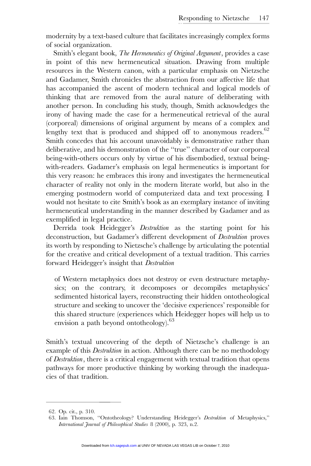modernity by a text-based culture that facilitates increasingly complex forms of social organization.

Smith's elegant book, The Hermeneutics of Original Argument, provides a case in point of this new hermeneutical situation. Drawing from multiple resources in the Western canon, with a particular emphasis on Nietzsche and Gadamer, Smith chronicles the abstraction from our affective life that has accompanied the ascent of modern technical and logical models of thinking that are removed from the aural nature of deliberating with another person. In concluding his study, though, Smith acknowledges the irony of having made the case for a hermeneutical retrieval of the aural (corporeal) dimensions of original argument by means of a complex and lengthy text that is produced and shipped off to anonymous readers.<sup>62</sup> Smith concedes that his account unavoidably is demonstrative rather than deliberative, and his demonstration of the ''true'' character of our corporeal being-with-others occurs only by virtue of his disembodied, textual beingwith-readers. Gadamer's emphasis on legal hermeneutics is important for this very reason: he embraces this irony and investigates the hermeneutical character of reality not only in the modern literate world, but also in the emerging postmodern world of computerized data and text processing. I would not hesitate to cite Smith's book as an exemplary instance of inviting hermeneutical understanding in the manner described by Gadamer and as exemplified in legal practice.

Derrida took Heidegger's Destruktion as the starting point for his deconstruction, but Gadamer's different development of Destruktion proves its worth by responding to Nietzsche's challenge by articulating the potential for the creative and critical development of a textual tradition. This carries forward Heidegger's insight that Destruktion

of Western metaphysics does not destroy or even destructure metaphysics; on the contrary, it decomposes or decompiles metaphysics' sedimented historical layers, reconstructing their hidden ontotheological structure and seeking to uncover the 'decisive experiences' responsible for this shared structure (experiences which Heidegger hopes will help us to envision a path beyond ontotheology).  $63$ 

Smith's textual uncovering of the depth of Nietzsche's challenge is an example of this *Destruktion* in action. Although there can be no methodology of Destruktion, there is a critical engagement with textual tradition that opens pathways for more productive thinking by working through the inadequacies of that tradition.

<sup>62.</sup> Op. cit., p. 310.

<sup>63.</sup> Iain Thomson, ''Ontotheology? Understanding Heidegger's Destruktion of Metaphysics,'' International Journal of Philosophical Studies 8 (2000), p. 323, n.2.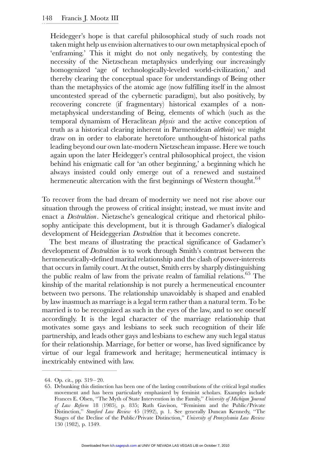Heidegger's hope is that careful philosophical study of such roads not taken might help us envision alternatives to our own metaphysical epoch of 'enframing.' This it might do not only negatively, by contesting the necessity of the Nietzschean metaphysics underlying our increasingly homogenized 'age of technologically-leveled world-civilization,' and thereby clearing the conceptual space for understandings of Being other than the metaphysics of the atomic age (now fulfilling itself in the almost uncontested spread of the cybernetic paradigm), but also positively, by recovering concrete (if fragmentary) historical examples of a nonmetaphysical understanding of Being, elements of which (such as the temporal dynamism of Heraclitean physis and the active conception of truth as a historical clearing inherent in Parmenidean *aletheia*) we might draw on in order to elaborate heretofore unthought-of historical paths leading beyond our own late-modern Nietzschean impasse. Here we touch again upon the later Heidegger's central philosophical project, the vision behind his enigmatic call for 'an other beginning,' a beginning which he always insisted could only emerge out of a renewed and sustained hermeneutic altercation with the first beginnings of Western thought.<sup>64</sup>

To recover from the bad dream of modernity we need not rise above our situation through the prowess of critical insight; instead, we must invite and enact a Destruktion. Nietzsche's genealogical critique and rhetorical philosophy anticipate this development, but it is through Gadamer's dialogical development of Heideggerian *Destruktion* that it becomes concrete.

The best means of illustrating the practical significance of Gadamer's development of *Destruktion* is to work through Smith's contrast between the hermeneutically-defined marital relationship and the clash of power-interests that occurs in family court. At the outset, Smith errs by sharply distinguishing the public realm of law from the private realm of familial relations.<sup>65</sup> The kinship of the marital relationship is not purely a hermeneutical encounter between two persons. The relationship unavoidably is shaped and enabled by law inasmuch as marriage is a legal term rather than a natural term. To be married is to be recognized as such in the eyes of the law, and to see oneself accordingly. It is the legal character of the marriage relationship that motivates some gays and lesbians to seek such recognition of their life partnership, and leads other gays and lesbians to eschew any such legal status for their relationship. Marriage, for better or worse, has lived significance by virtue of our legal framework and heritage; hermeneutical intimacy is inextricably entwined with law.

<sup>64.</sup> Op. cit., pp. 319–20.

<sup>65.</sup> Debunking this distinction has been one of the lasting contributions of the critical legal studies movement and has been particularly emphasized by feminist scholars. Examples include Frances E. Olsen, "The Myth of State Intervention in the Family," University of Michigan Journal of Law Reform 18 (1985), p. 835; Ruth Gavison, ''Feminism and the Public/Private Distinction,'' Stanford Law Review 45 (1992), p. 1. See generally Duncan Kennedy, ''The Stages of the Decline of the Public/Private Distinction,'' University of Pennsylvania Law Review 130 (1982), p. 1349.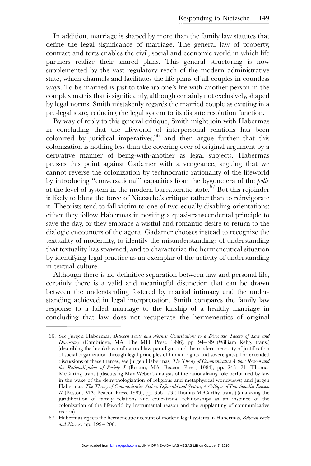In addition, marriage is shaped by more than the family law statutes that define the legal significance of marriage. The general law of property, contract and torts enables the civil, social and economic world in which life partners realize their shared plans. This general structuring is now supplemented by the vast regulatory reach of the modern administrative state, which channels and facilitates the life plans of all couples in countless ways. To be married is just to take up one's life with another person in the complex matrix that is significantly, although certainly not exclusively, shaped by legal norms. Smith mistakenly regards the married couple as existing in a pre-legal state, reducing the legal system to its dispute resolution function.

By way of reply to this general critique, Smith might join with Habermas in concluding that the lifeworld of interpersonal relations has been colonized by juridical imperatives, $66$  and then argue further that this colonization is nothing less than the covering over of original argument by a derivative manner of being-with-another as legal subjects. Habermas presses this point against Gadamer with a vengeance, arguing that we cannot reverse the colonization by technocratic rationality of the lifeworld by introducing ''conversational'' capacities from the bygone era of the polis at the level of system in the modern bureaucratic state.<sup>67</sup> But this rejoinder is likely to blunt the force of Nietzsche's critique rather than to reinvigorate it. Theorists tend to fall victim to one of two equally disabling orientations: either they follow Habermas in positing a quasi-transcendental principle to save the day, or they embrace a wistful and romantic desire to return to the dialogic encounters of the agora. Gadamer chooses instead to recognize the textuality of modernity, to identify the misunderstandings of understanding that textuality has spawned, and to characterize the hermeneutical situation by identifying legal practice as an exemplar of the activity of understanding in textual culture.

Although there is no definitive separation between law and personal life, certainly there is a valid and meaningful distinction that can be drawn between the understanding fostered by marital intimacy and the understanding achieved in legal interpretation. Smith compares the family law response to a failed marriage to the kinship of a healthy marriage in concluding that law does not recuperate the hermeneutics of original

<sup>66.</sup> See Jürgen Habermas, Between Facts and Norms: Contributions to a Discourse Theory of Law and Democracy (Cambridge, MA: The MIT Press, 1996), pp. 94-99 (William Rehg, trans.) (describing the breakdown of natural law paradigms and the modern necessity of justification of social organization through legal principles of human rights and sovereignty). For extended discussions of these themes, see Jürgen Habermas, The Theory of Communicative Action: Reason and the Rationalization of Society I (Boston, MA: Beacon Press, 1984), pp.  $243-71$  (Thomas McCarthy, trans.) (discussing Max Weber's analysis of the rationalizing role performed by law in the wake of the demythologization of religious and metaphysical worldviews) and Jürgen Habermas, The Theory of Communicative Action: Lifeworld and System, A Critique of Functionalist Reason II (Boston, MA: Beacon Press, 1989), pp.  $356-73$  (Thomas McCarthy, trans.) (analyzing the juridification of family relations and educational relationships as an instance of the colonization of the lifeworld by instrumental reason and the supplanting of communicative reason).

<sup>67.</sup> Habermas rejects the hermeneutic account of modern legal systems in Habermas, Between Facts and Norms, pp.  $199 - 200$ .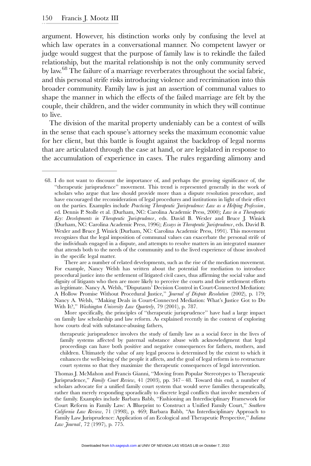argument. However, his distinction works only by confusing the level at which law operates in a conversational manner. No competent lawyer or judge would suggest that the purpose of family law is to rekindle the failed relationship, but the marital relationship is not the only community served by law.<sup>68</sup> The failure of a marriage reverberates throughout the social fabric, and this personal strife risks introducing violence and recrimination into this broader community. Family law is just an assertion of communal values to shape the manner in which the effects of the failed marriage are felt by the couple, their children, and the wider community in which they will continue to live.

The division of the marital property undeniably can be a contest of wills in the sense that each spouse's attorney seeks the maximum economic value for her client, but this battle is fought against the backdrop of legal norms that are articulated through the case at hand, or are legislated in response to the accumulation of experience in cases. The rules regarding alimony and

<sup>68.</sup> I do not want to discount the importance of, and perhaps the growing significance of, the ''therapeutic jurisprudence'' movement. This trend is represented generally in the work of scholars who argue that law should provide more than a dispute resolution procedure, and have encouraged the reconsideration of legal procedures and institutions in light of their effect on the parties. Examples include Practicing Therapeutic Jurisprudence: Law as a Helping Profession, ed. Dennis P. Stolle et al. (Durham, NC: Carolina Academic Press, 2000); Law in a Therapeutic Key: Developments in Therapeutic Jurisprudence, eds. David B. Wexler and Bruce J. Winick (Durham, NC: Carolina Academic Press, 1996); Essays in Therapeutic Jurisprudence, eds. David B. Wexler and Bruce J. Winick (Durham, NC: Carolina Academic Press, 1991). This movement recognizes that the legal imposition of communal values can exacerbate the personal strife of the individuals engaged in a dispute, and attempts to resolve matters in an integrated manner that attends both to the needs of the community and to the lived experience of those involved in the specific legal matter.

There are a number of related developments, such as the rise of the mediation movement. For example, Nancy Welsh has written about the potential for mediation to introduce procedural justice into the settlement of litigated civil cases, thus affirming the social value and dignity of litigants who then are more likely to perceive the courts and their settlement efforts as legitimate. Nancy A. Welsh, ''Disputants' Decision Control in Court-Connected Mediation: A Hollow Promise Without Procedural Justice,'' Journal of Dispute Resolution (2002), p. 179; Nancy A. Welsh, ''Making Deals in Court-Connected Mediation: What's Justice Got to Do With It?," Washington University Law Quarterly, 79 (2001), p. 787.

More specifically, the principles of ''therapeutic jurisprudence'' have had a large impact on family law scholarship and law reform. As explained recently in the context of exploring how courts deal with substance-abusing fathers,

therapeutic jurisprudence involves the study of family law as a social force in the lives of family systems affected by paternal substance abuse with acknowledgment that legal proceedings can have both positive and negative consequences for fathers, mothers, and children. Ultimately the value of any legal process is determined by the extent to which it enhances the well-being of the people it affects, and the goal of legal reform is to restructure court systems so that they maximize the therapeutic consequences of legal intervention.

Thomas J. McMahon and Francis Gianni, ''Moving from Popular Stereotypes to Therapeutic Jurisprudence," Family Court Review, 41 (2003), pp. 347-48. Toward this end, a number of scholars advocate for a unified family court system that would serve families therapeutically, rather than merely responding sporadically to discrete legal conflicts that involve members of the family. Examples include Barbara Babb, ''Fashioning an Interdisciplinary Framework for Court Reform in Family Law: A Blueprint to Construct a Unified Family Court,'' Southern California Law Review, 71 (1998), p. 469; Barbara Babb, ''An Interdisciplinary Approach to Family Law Jurisprudence: Application of an Ecological and Therapeutic Perspective," *Indiana* Law Journal, 72 (1997), p. 775.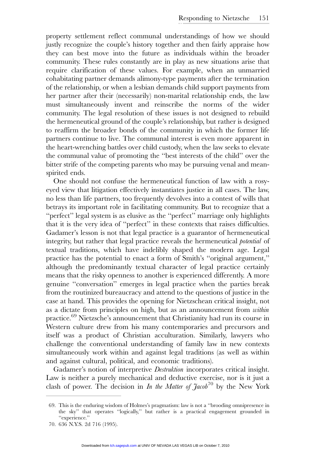property settlement reflect communal understandings of how we should justly recognize the couple's history together and then fairly appraise how they can best move into the future as individuals within the broader community. These rules constantly are in play as new situations arise that require clarification of these values. For example, when an unmarried cohabitating partner demands alimony-type payments after the termination of the relationship, or when a lesbian demands child support payments from her partner after their (necessarily) non-marital relationship ends, the law must simultaneously invent and reinscribe the norms of the wider community. The legal resolution of these issues is not designed to rebuild the hermeneutical ground of the couple's relationship, but rather is designed to reaffirm the broader bonds of the community in which the former life partners continue to live. The communal interest is even more apparent in the heart-wrenching battles over child custody, when the law seeks to elevate the communal value of promoting the ''best interests of the child'' over the bitter strife of the competing parents who may be pursuing venal and meanspirited ends.

One should not confuse the hermeneutical function of law with a rosyeyed view that litigation effectively instantiates justice in all cases. The law, no less than life partners, too frequently devolves into a contest of wills that betrays its important role in facilitating community. But to recognize that a "perfect" legal system is as elusive as the "perfect" marriage only highlights that it is the very idea of ''perfect'' in these contexts that raises difficulties. Gadamer's lesson is not that legal practice is a guarantor of hermeneutical integrity, but rather that legal practice reveals the hermeneutical potential of textual traditions, which have indelibly shaped the modern age. Legal practice has the potential to enact a form of Smith's ''original argument,'' although the predominantly textual character of legal practice certainly means that the risky openness to another is experienced differently. A more genuine ''conversation'' emerges in legal practice when the parties break from the routinized bureaucracy and attend to the questions of justice in the case at hand. This provides the opening for Nietzschean critical insight, not as a dictate from principles on high, but as an announcement from within practice.69 Nietzsche's announcement that Christianity had run its course in Western culture drew from his many contemporaries and precursors and itself was a product of Christian acculturation. Similarly, lawyers who challenge the conventional understanding of family law in new contexts simultaneously work within and against legal traditions (as well as within and against cultural, political, and economic traditions).

Gadamer's notion of interpretive Destruktion incorporates critical insight. Law is neither a purely mechanical and deductive exercise, nor is it just a clash of power. The decision in In the Matter of  $\tilde{J}acob^{70}$  by the New York

<sup>69.</sup> This is the enduring wisdom of Holmes's pragmatism: law is not a ''brooding omnipresence in the sky'' that operates ''logically,'' but rather is a practical engagement grounded in ''experience.''

<sup>70. 636</sup> N.Y.S. 2d 716 (1995).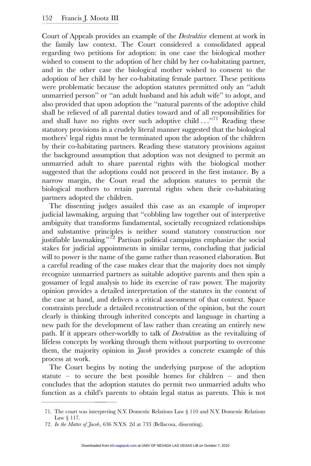Court of Appeals provides an example of the Destruktive element at work in the family law context. The Court considered a consolidated appeal regarding two petitions for adoption: in one case the biological mother wished to consent to the adoption of her child by her co-habitating partner, and in the other case the biological mother wished to consent to the adoption of her child by her co-habitating female partner. These petitions were problematic because the adoption statutes permitted only an ''adult unmarried person'' or ''an adult husband and his adult wife'' to adopt, and also provided that upon adoption the ''natural parents of the adoptive child shall be relieved of all parental duties toward and of all responsibilities for and shall have no rights over such adoptive child  $\ldots$ <sup>71</sup> Reading these statutory provisions in a crudely literal manner suggested that the biological mothers' legal rights must be terminated upon the adoption of the children by their co-habitating partners. Reading these statutory provisions against the background assumption that adoption was not designed to permit an unmarried adult to share parental rights with the biological mother suggested that the adoptions could not proceed in the first instance. By a narrow margin, the Court read the adoption statutes to permit the biological mothers to retain parental rights when their co-habitating partners adopted the children.

The dissenting judges assailed this case as an example of improper judicial lawmaking, arguing that ''cobbling law together out of interpretive ambiguity that transforms fundamental, societally recognized relationships and substantive principles is neither sound statutory construction nor justifiable lawmaking."<sup>72</sup> Partisan political campaigns emphasize the social stakes for judicial appointments in similar terms, concluding that judicial will to power is the name of the game rather than reasoned elaboration. But a careful reading of the case makes clear that the majority does not simply recognize unmarried partners as suitable adoptive parents and then spin a gossamer of legal analysis to hide its exercise of raw power. The majority opinion provides a detailed interpretation of the statutes in the context of the case at hand, and delivers a critical assessment of that context. Space constraints preclude a detailed reconstruction of the opinion, but the court clearly is thinking through inherited concepts and language in charting a new path for the development of law rather than creating an entirely new path. If it appears other-worldly to talk of Destruktion as the revitalizing of lifeless concepts by working through them without purporting to overcome them, the majority opinion in *Jacob* provides a concrete example of this process at work.

The Court begins by noting the underlying purpose of the adoption statute  $-$  to secure the best possible homes for children  $-$  and then concludes that the adoption statutes do permit two unmarried adults who function as a child's parents to obtain legal status as parents. This is not

<sup>71.</sup> The court was interpreting N.Y. Domestic Relations Law § 110 and N.Y. Domestic Relations Law § 117.

<sup>72.</sup> In the Matter of Jacob, 636 N.Y.S. 2d at 733 (Bellacosa, dissenting).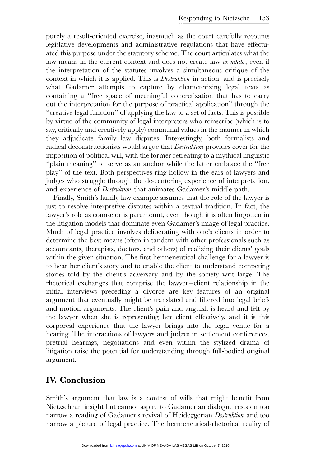purely a result-oriented exercise, inasmuch as the court carefully recounts legislative developments and administrative regulations that have effectuated this purpose under the statutory scheme. The court articulates what the law means in the current context and does not create law ex nihilo, even if the interpretation of the statutes involves a simultaneous critique of the context in which it is applied. This is Destruktion in action, and is precisely what Gadamer attempts to capture by characterizing legal texts as containing a ''free space of meaningful concretization that has to carry out the interpretation for the purpose of practical application'' through the ''creative legal function'' of applying the law to a set of facts. This is possible by virtue of the community of legal interpreters who reinscribe (which is to say, critically and creatively apply) communal values in the manner in which they adjudicate family law disputes. Interestingly, both formalists and radical deconstructionists would argue that *Destruktion* provides cover for the imposition of political will, with the former retreating to a mythical linguistic ''plain meaning'' to serve as an anchor while the latter embrace the ''free play'' of the text. Both perspectives ring hollow in the ears of lawyers and judges who struggle through the de-centering experience of interpretation, and experience of Destruktion that animates Gadamer's middle path.

Finally, Smith's family law example assumes that the role of the lawyer is just to resolve interpretive disputes within a textual tradition. In fact, the lawyer's role as counselor is paramount, even though it is often forgotten in the litigation models that dominate even Gadamer's image of legal practice. Much of legal practice involves deliberating with one's clients in order to determine the best means (often in tandem with other professionals such as accountants, therapists, doctors, and others) of realizing their clients' goals within the given situation. The first hermeneutical challenge for a lawyer is to hear her client's story and to enable the client to understand competing stories told by the client's adversary and by the society writ large. The rhetorical exchanges that comprise the lawyer-client relationship in the initial interviews preceding a divorce are key features of an original argument that eventually might be translated and filtered into legal briefs and motion arguments. The client's pain and anguish is heard and felt by the lawyer when she is representing her client effectively, and it is this corporeal experience that the lawyer brings into the legal venue for a hearing. The interactions of lawyers and judges in settlement conferences, pretrial hearings, negotiations and even within the stylized drama of litigation raise the potential for understanding through full-bodied original argument.

#### IV. Conclusion

Smith's argument that law is a contest of wills that might benefit from Nietzschean insight but cannot aspire to Gadamerian dialogue rests on too narrow a reading of Gadamer's revival of Heideggerian Destruktion and too narrow a picture of legal practice. The hermeneutical-rhetorical reality of